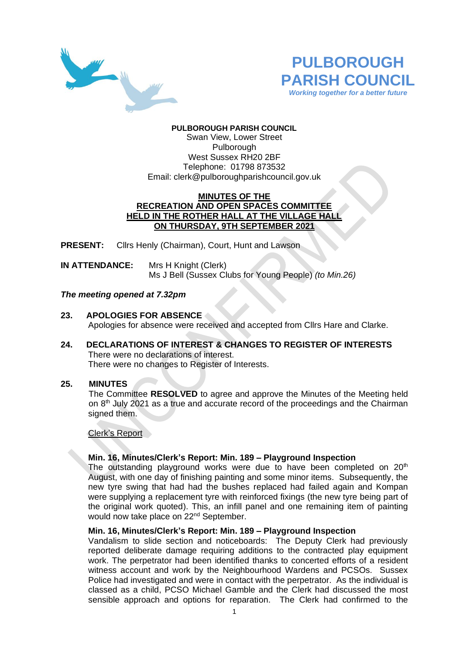



## **PULBOROUGH PARISH COUNCIL**

Swan View, Lower Street Pulborough West Sussex RH20 2BF Telephone: 01798 873532 Email: [clerk@pulboroughparishcouncil.gov.uk](mailto:clerk@pulboroughparishcouncil.gov.uk)

## **MINUTES OF THE RECREATION AND OPEN SPACES COMMITTEE HELD IN THE ROTHER HALL AT THE VILLAGE HALL ON THURSDAY, 9TH SEPTEMBER 2021**

**PRESENT:** Clirs Henly (Chairman), Court, Hunt and Lawson

**IN ATTENDANCE:** Mrs H Knight (Clerk) Ms J Bell (Sussex Clubs for Young People) *(to Min.26)*

## *The meeting opened at 7.32pm*

### **23. APOLOGIES FOR ABSENCE**

Apologies for absence were received and accepted from Cllrs Hare and Clarke.

## **24. DECLARATIONS OF INTEREST & CHANGES TO REGISTER OF INTERESTS** There were no declarations of interest. There were no changes to Register of Interests.

## **25. MINUTES**

The Committee **RESOLVED** to agree and approve the Minutes of the Meeting held on 8<sup>th</sup> July 2021 as a true and accurate record of the proceedings and the Chairman signed them.

## Clerk's Report

## **Min. 16, Minutes/Clerk's Report: Min. 189 – Playground Inspection**

The outstanding playground works were due to have been completed on  $20<sup>th</sup>$ August, with one day of finishing painting and some minor items. Subsequently, the new tyre swing that had had the bushes replaced had failed again and Kompan were supplying a replacement tyre with reinforced fixings (the new tyre being part of the original work quoted). This, an infill panel and one remaining item of painting would now take place on 22<sup>nd</sup> September.

# **Min. 16, Minutes/Clerk's Report: Min. 189 – Playground Inspection**

Vandalism to slide section and noticeboards: The Deputy Clerk had previously reported deliberate damage requiring additions to the contracted play equipment work. The perpetrator had been identified thanks to concerted efforts of a resident witness account and work by the Neighbourhood Wardens and PCSOs. Sussex Police had investigated and were in contact with the perpetrator. As the individual is classed as a child, PCSO Michael Gamble and the Clerk had discussed the most sensible approach and options for reparation. The Clerk had confirmed to the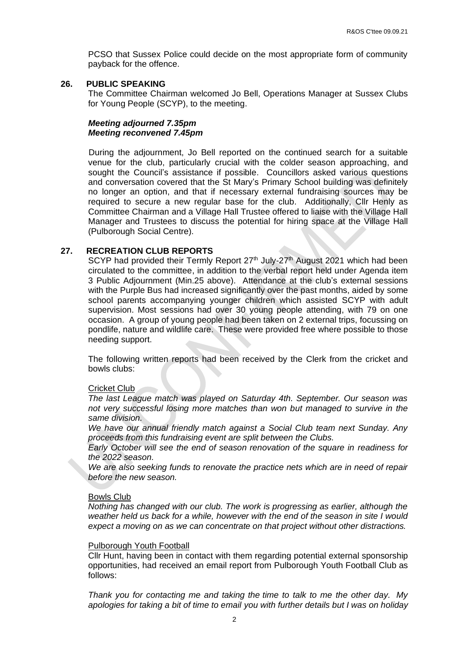PCSO that Sussex Police could decide on the most appropriate form of community payback for the offence.

# **26. PUBLIC SPEAKING**

The Committee Chairman welcomed Jo Bell, Operations Manager at Sussex Clubs for Young People (SCYP), to the meeting.

## *Meeting adjourned 7.35pm Meeting reconvened 7.45pm*

During the adjournment, Jo Bell reported on the continued search for a suitable venue for the club, particularly crucial with the colder season approaching, and sought the Council's assistance if possible. Councillors asked various questions and conversation covered that the St Mary's Primary School building was definitely no longer an option, and that if necessary external fundraising sources may be required to secure a new regular base for the club. Additionally, Cllr Henly as Committee Chairman and a Village Hall Trustee offered to liaise with the Village Hall Manager and Trustees to discuss the potential for hiring space at the Village Hall (Pulborough Social Centre).

## **27. RECREATION CLUB REPORTS**

SCYP had provided their Termly Report  $27<sup>th</sup>$  July- $27<sup>th</sup>$  August 2021 which had been circulated to the committee, in addition to the verbal report held under Agenda item 3 Public Adjournment (Min.25 above). Attendance at the club's external sessions with the Purple Bus had increased significantly over the past months, aided by some school parents accompanying younger children which assisted SCYP with adult supervision. Most sessions had over 30 young people attending, with 79 on one occasion. A group of young people had been taken on 2 external trips, focussing on pondlife, nature and wildlife care. These were provided free where possible to those needing support.

The following written reports had been received by the Clerk from the cricket and bowls clubs:

## Cricket Club

*The last League match was played on Saturday 4th. September. Our season was not very successful losing more matches than won but managed to survive in the same division.*

*We have our annual friendly match against a Social Club team next Sunday. Any proceeds from this fundraising event are split between the Clubs.*

*Early October will see the end of season renovation of the square in readiness for the 2022 season.* 

*We are also seeking funds to renovate the practice nets which are in need of repair before the new season.*

## Bowls Club

*Nothing has changed with our club. The work is progressing as earlier, although the weather held us back for a while, however with the end of the season in site I would expect a moving on as we can concentrate on that project without other distractions.*

#### Pulborough Youth Football

Cllr Hunt, having been in contact with them regarding potential external sponsorship opportunities, had received an email report from Pulborough Youth Football Club as follows:

*Thank you for contacting me and taking the time to talk to me the other day. My apologies for taking a bit of time to email you with further details but I was on holiday*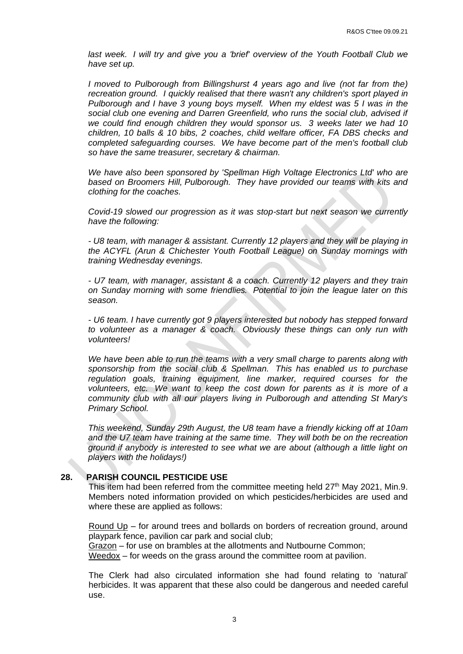*last week. I will try and give you a 'brief' overview of the Youth Football Club we have set up.*

*I* moved to Pulborough from Billingshurst 4 years ago and live (not far from the) *recreation ground. I quickly realised that there wasn't any children's sport played in Pulborough and I have 3 young boys myself. When my eldest was 5 I was in the social club one evening and Darren Greenfield, who runs the social club, advised if we could find enough children they would sponsor us. 3 weeks later we had 10 children, 10 balls & 10 bibs, 2 coaches, child welfare officer, FA DBS checks and completed safeguarding courses. We have become part of the men's football club so have the same treasurer, secretary & chairman.*

*We have also been sponsored by 'Spellman High Voltage Electronics Ltd' who are based on Broomers Hill, Pulborough. They have provided our teams with kits and clothing for the coaches.*

*Covid-19 slowed our progression as it was stop-start but next season we currently have the following:*

*- U8 team, with manager & assistant. Currently 12 players and they will be playing in the ACYFL (Arun & Chichester Youth Football League) on Sunday mornings with training Wednesday evenings.*

*- U7 team, with manager, assistant & a coach. Currently 12 players and they train on Sunday morning with some friendlies. Potential to join the league later on this season.*

*- U6 team. I have currently got 9 players interested but nobody has stepped forward to volunteer as a manager & coach. Obviously these things can only run with volunteers!*

*We have been able to run the teams with a very small charge to parents along with sponsorship from the social club & Spellman. This has enabled us to purchase regulation goals, training equipment, line marker, required courses for the volunteers, etc. We want to keep the cost down for parents as it is more of a community club with all our players living in Pulborough and attending St Mary's Primary School.*

*This weekend, Sunday 29th August, the U8 team have a friendly kicking off at 10am and the U7 team have training at the same time. They will both be on the recreation ground if anybody is interested to see what we are about (although a little light on players with the holidays!)*

## **28. PARISH COUNCIL PESTICIDE USE**

This item had been referred from the committee meeting held  $27<sup>th</sup>$  May 2021, Min.9. Members noted information provided on which pesticides/herbicides are used and where these are applied as follows:

Round Up – for around trees and bollards on borders of recreation ground, around playpark fence, pavilion car park and social club;

Grazon – for use on brambles at the allotments and Nutbourne Common; Weedox – for weeds on the grass around the committee room at pavilion.

The Clerk had also circulated information she had found relating to 'natural' herbicides. It was apparent that these also could be dangerous and needed careful use.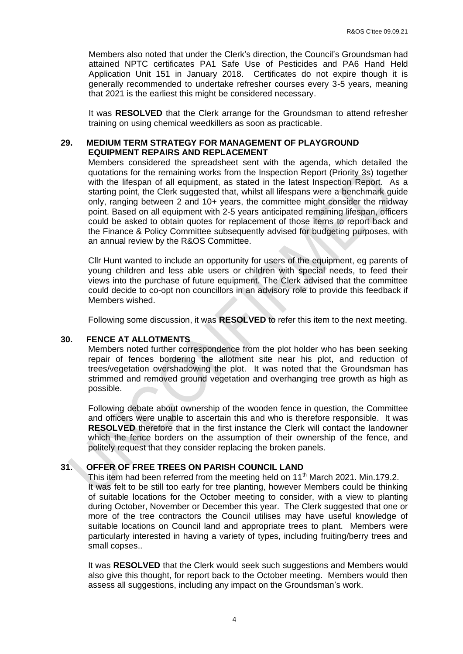Members also noted that under the Clerk's direction, the Council's Groundsman had attained NPTC certificates PA1 Safe Use of Pesticides and PA6 Hand Held Application Unit 151 in January 2018. Certificates do not expire though it is generally recommended to undertake refresher courses every 3-5 years, meaning that 2021 is the earliest this might be considered necessary.

It was **RESOLVED** that the Clerk arrange for the Groundsman to attend refresher training on using chemical weedkillers as soon as practicable.

## **29. MEDIUM TERM STRATEGY FOR MANAGEMENT OF PLAYGROUND EQUIPMENT REPAIRS AND REPLACEMENT**

Members considered the spreadsheet sent with the agenda, which detailed the quotations for the remaining works from the Inspection Report (Priority 3s) together with the lifespan of all equipment, as stated in the latest Inspection Report. As a starting point, the Clerk suggested that, whilst all lifespans were a benchmark guide only, ranging between 2 and 10+ years, the committee might consider the midway point. Based on all equipment with 2-5 years anticipated remaining lifespan, officers could be asked to obtain quotes for replacement of those items to report back and the Finance & Policy Committee subsequently advised for budgeting purposes, with an annual review by the R&OS Committee.

Cllr Hunt wanted to include an opportunity for users of the equipment, eg parents of young children and less able users or children with special needs, to feed their views into the purchase of future equipment. The Clerk advised that the committee could decide to co-opt non councillors in an advisory role to provide this feedback if Members wished.

Following some discussion, it was **RESOLVED** to refer this item to the next meeting.

## **30. FENCE AT ALLOTMENTS**

Members noted further correspondence from the plot holder who has been seeking repair of fences bordering the allotment site near his plot, and reduction of trees/vegetation overshadowing the plot. It was noted that the Groundsman has strimmed and removed ground vegetation and overhanging tree growth as high as possible.

Following debate about ownership of the wooden fence in question, the Committee and officers were unable to ascertain this and who is therefore responsible. It was **RESOLVED** therefore that in the first instance the Clerk will contact the landowner which the fence borders on the assumption of their ownership of the fence, and politely request that they consider replacing the broken panels.

## **31. OFFER OF FREE TREES ON PARISH COUNCIL LAND**

This item had been referred from the meeting held on 11<sup>th</sup> March 2021. Min.179.2. It was felt to be still too early for tree planting, however Members could be thinking of suitable locations for the October meeting to consider, with a view to planting during October, November or December this year. The Clerk suggested that one or more of the tree contractors the Council utilises may have useful knowledge of suitable locations on Council land and appropriate trees to plant. Members were particularly interested in having a variety of types, including fruiting/berry trees and small copses..

It was **RESOLVED** that the Clerk would seek such suggestions and Members would also give this thought, for report back to the October meeting. Members would then assess all suggestions, including any impact on the Groundsman's work.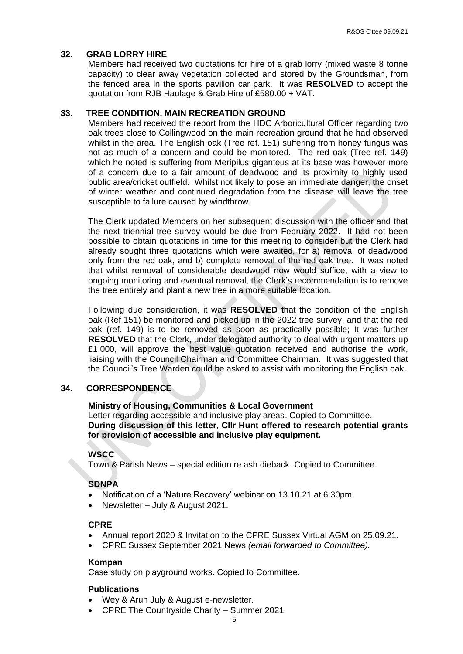### **32. GRAB LORRY HIRE**

Members had received two quotations for hire of a grab lorry (mixed waste 8 tonne capacity) to clear away vegetation collected and stored by the Groundsman, from the fenced area in the sports pavilion car park. It was **RESOLVED** to accept the quotation from RJB Haulage & Grab Hire of £580.00 + VAT.

#### **33. TREE CONDITION, MAIN RECREATION GROUND**

Members had received the report from the HDC Arboricultural Officer regarding two oak trees close to Collingwood on the main recreation ground that he had observed whilst in the area. The English oak (Tree ref. 151) suffering from honey fungus was not as much of a concern and could be monitored. The red oak (Tree ref. 149) which he noted is suffering from Meripilus giganteus at its base was however more of a concern due to a fair amount of deadwood and its proximity to highly used public area/cricket outfield. Whilst not likely to pose an immediate danger, the onset of winter weather and continued degradation from the disease will leave the tree susceptible to failure caused by windthrow.

The Clerk updated Members on her subsequent discussion with the officer and that the next triennial tree survey would be due from February 2022. It had not been possible to obtain quotations in time for this meeting to consider but the Clerk had already sought three quotations which were awaited, for a) removal of deadwood only from the red oak, and b) complete removal of the red oak tree. It was noted that whilst removal of considerable deadwood now would suffice, with a view to ongoing monitoring and eventual removal, the Clerk's recommendation is to remove the tree entirely and plant a new tree in a more suitable location.

Following due consideration, it was **RESOLVED** that the condition of the English oak (Ref 151) be monitored and picked up in the 2022 tree survey; and that the red oak (ref. 149) is to be removed as soon as practically possible; It was further **RESOLVED** that the Clerk, under delegated authority to deal with urgent matters up £1,000, will approve the best value quotation received and authorise the work, liaising with the Council Chairman and Committee Chairman. It was suggested that the Council's Tree Warden could be asked to assist with monitoring the English oak.

## **34. CORRESPONDENCE**

### **Ministry of Housing, Communities & Local Government**

Letter regarding accessible and inclusive play areas. Copied to Committee. **During discussion of this letter, Cllr Hunt offered to research potential grants for provision of accessible and inclusive play equipment.**

### **WSCC**

Town & Parish News – special edition re ash dieback. Copied to Committee.

## **SDNPA**

- Notification of a 'Nature Recovery' webinar on 13.10.21 at 6.30pm.
- Newsletter July & August 2021.

### **CPRE**

- Annual report 2020 & Invitation to the CPRE Sussex Virtual AGM on 25.09.21.
- CPRE Sussex September 2021 News *(email forwarded to Committee).*

#### **Kompan**

Case study on playground works. Copied to Committee.

#### **Publications**

- Wey & Arun July & August e-newsletter.
- CPRE The Countryside Charity Summer 2021